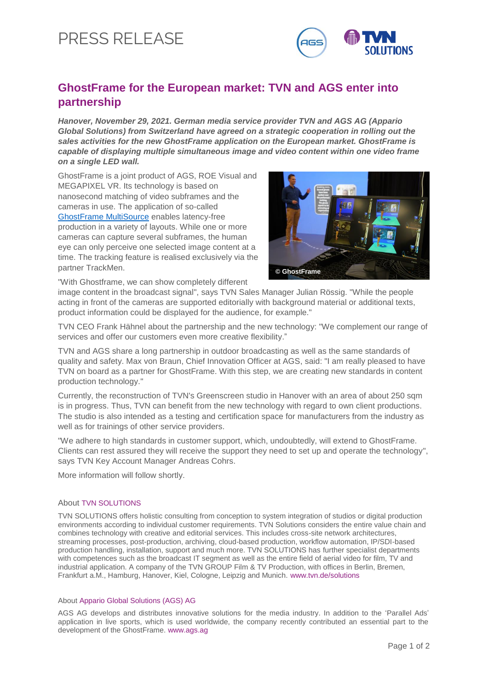# PRESS RELEASE



## **GhostFrame for the European market: TVN and AGS enter into partnership**

*Hanover, November 29, 2021. German media service provider TVN and AGS AG (Appario Global Solutions) from Switzerland have agreed on a strategic cooperation in rolling out the sales activities for the new GhostFrame application on the European market. GhostFrame is capable of displaying multiple simultaneous image and video content within one video frame on a single LED wall.*

GhostFrame is a joint product of AGS, ROE Visual and MEGAPIXEL VR. Its technology is based on nanosecond matching of video subframes and the cameras in use. The application of so-called [GhostFrame MultiSource](https://www.ghostframe.com/features/ghostframe-multisource) enables latency-free production in a variety of layouts. While one or more cameras can capture several subframes, the human eye can only perceive one selected image content at a time. The tracking feature is realised exclusively via the partner TrackMen.



"With Ghostframe, we can show completely different

image content in the broadcast signal", says TVN Sales Manager Julian Rössig. "While the people acting in front of the cameras are supported editorially with background material or additional texts, product information could be displayed for the audience, for example."

TVN CEO Frank Hähnel about the partnership and the new technology: "We complement our range of services and offer our customers even more creative flexibility."

TVN and AGS share a long partnership in outdoor broadcasting as well as the same standards of quality and safety. Max von Braun, Chief Innovation Officer at AGS, said: "I am really pleased to have TVN on board as a partner for GhostFrame. With this step, we are creating new standards in content production technology."

Currently, the reconstruction of TVN's Greenscreen studio in Hanover with an area of about 250 sqm is in progress. Thus, TVN can benefit from the new technology with regard to own client productions. The studio is also intended as a testing and certification space for manufacturers from the industry as well as for trainings of other service providers.

"We adhere to high standards in customer support, which, undoubtedly, will extend to GhostFrame. Clients can rest assured they will receive the support they need to set up and operate the technology", says TVN Key Account Manager Andreas Cohrs.

More information will follow shortly.

### About TVN SOLUTIONS

TVN SOLUTIONS offers holistic consulting from conception to system integration of studios or digital production environments according to individual customer requirements. TVN Solutions considers the entire value chain and combines technology with creative and editorial services. This includes cross-site network architectures, streaming processes, post-production, archiving, cloud-based production, workflow automation, IP/SDI-based production handling, installation, support and much more. TVN SOLUTIONS has further specialist departments with competences such as the broadcast IT segment as well as the entire field of aerial video for film, TV and industrial application. A company of the TVN GROUP Film & TV Production, with offices in Berlin, Bremen, Frankfurt a.M., Hamburg, Hanover, Kiel, Cologne, Leipzig and Munich. www.tvn.de/solutions

### About Appario Global Solutions (AGS) AG

AGS AG develops and distributes innovative solutions for the media industry. In addition to the 'Parallel Ads' application in live sports, which is used worldwide, the company recently contributed an essential part to the development of the GhostFrame. www.ags.ag